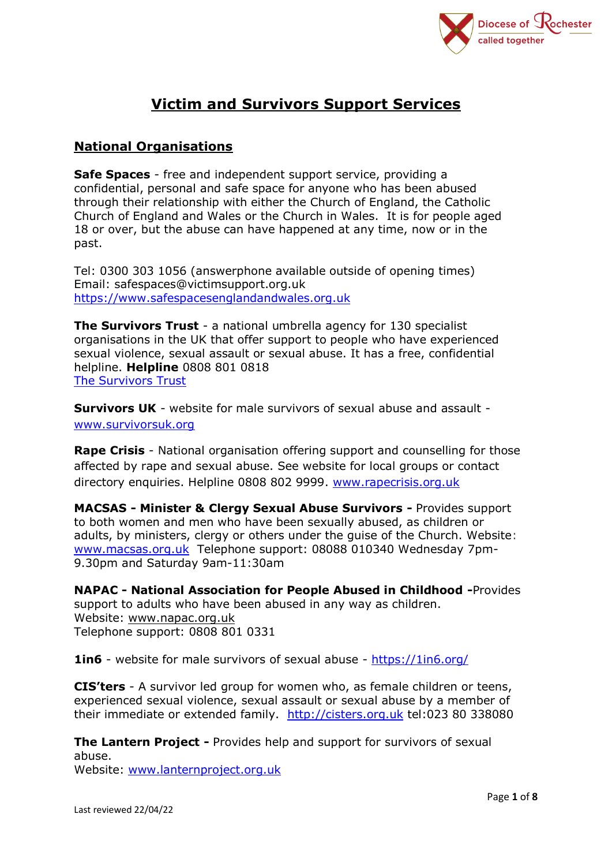

# **Victim and Survivors Support Services**

## **National Organisations**

**Safe Spaces** - free and independent support service, providing a confidential, personal and safe space for anyone who has been abused through their relationship with either the Church of England, the Catholic Church of England and Wales or the Church in Wales. It is for people aged 18 or over, but the abuse can have happened at any time, now or in the past.

Tel: 0300 303 1056 (answerphone available outside of opening times) Email: safespaces@victimsupport.org.uk [https://www.safespacesenglandandwales.org.uk](https://www.safespacesenglandandwales.org.uk/)

**The Survivors Trust** - a national umbrella agency for 130 specialist organisations in the UK that offer support to people who have experienced sexual violence, sexual assault or sexual abuse. It has a free, confidential helpline. **Helpline** 0808 801 0818 [The Survivors Trust](https://www.thesurvivorstrust.org/)

**Survivors UK** - website for male survivors of sexual abuse and assault [www.survivorsuk.org](http://www.survivorsuk.org/)

**Rape Crisis** - National organisation offering support and counselling for those affected by rape and sexual abuse. See website for local groups or contact directory enquiries. Helpline 0808 802 9999. [www.rapecrisis.org.uk](http://www.rapecrisis.org.uk/)

**MACSAS - Minister & Clergy Sexual Abuse Survivors -** Provides support to both women and men who have been sexually abused, as children or adults, by ministers, clergy or others under the guise of the Church. Website: [www.macsas.org.uk](http://www.macsas.org.uk/) Telephone support: 08088 010340 Wednesday 7pm-9.30pm and Saturday 9am-11:30am

**NAPAC - National Association for People Abused in Childhood -**Provides support to adults who have been abused in any way as children. Website: [www.napac.org.uk](http://www.napac.org.uk/) Telephone support: 0808 801 0331

**1in6** - website for male survivors of sexual abuse - <https://1in6.org/>

**CIS'ters** - A survivor led group for women who, as female children or teens, experienced sexual violence, sexual assault or sexual abuse by a member of their immediate or extended family. [http://cisters.org.uk](http://cisters.org.uk/) tel:023 80 338080

**The Lantern Project -** Provides help and support for survivors of sexual abuse.

Website: [www.lanternproject.org.uk](http://www.lanternproject.org.uk/)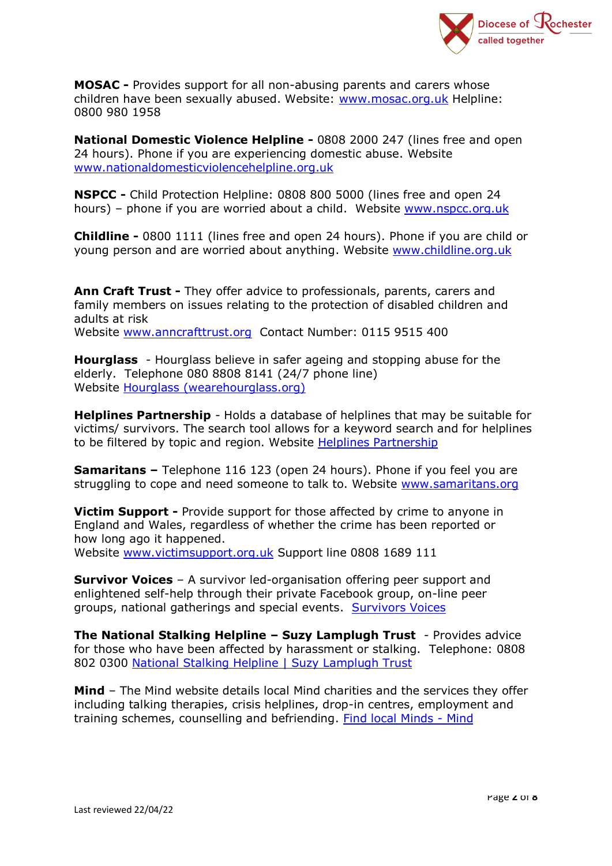

**MOSAC -** Provides support for all non-abusing parents and carers whose children have been sexually abused. Website: [www.mosac.org.uk](http://www.mosac.org.uk/) Helpline: 0800 980 1958

**National Domestic Violence Helpline -** 0808 2000 247 (lines free and open 24 hours). Phone if you are experiencing domestic abuse. Website [www.nationaldomesticviolencehelpline.org.uk](http://www.nationaldomesticviolencehelpline.org.uk/)

**NSPCC -** Child Protection Helpline: 0808 800 5000 (lines free and open 24 hours) – phone if you are worried about a child. Website [www.nspcc.org.uk](http://www.nspcc.org.uk/)

**Childline -** 0800 1111 (lines free and open 24 hours). Phone if you are child or young person and are worried about anything. Website [www.childline.org.uk](http://www.childline.org.uk/)

**Ann Craft Trust -** They offer advice to professionals, parents, carers and family members on issues relating to the protection of disabled children and adults at risk Website [www.anncrafttrust.org](http://www.anncrafttrust.org/) Contact Number: 0115 9515 400

**Hourglass** - Hourglass believe in safer ageing and stopping abuse for the elderly. Telephone 080 8808 8141 (24/7 phone line) Website [Hourglass \(wearehourglass.org\)](https://www.wearehourglass.org/)

**Helplines Partnership** - Holds a database of helplines that may be suitable for victims/ survivors. The search tool allows for a keyword search and for helplines to be filtered by topic and region. Website [Helplines Partnership](https://www.helplines.org/helplines/)

**Samaritans –** Telephone 116 123 (open 24 hours). Phone if you feel you are struggling to cope and need someone to talk to. Website [www.samaritans.org](http://www.samaritans.org/)

**Victim Support -** Provide support for those affected by crime to anyone in England and Wales, regardless of whether the crime has been reported or how long ago it happened. Website [www.victimsupport.org.uk](http://www.victimsupport.org.uk/) Support line 0808 1689 111

**Survivor Voices** – A survivor led-organisation offering peer support and enlightened self-help through their private Facebook group, on-line peer groups, national gatherings and special events. [Survivors Voices](https://survivorsvoices.org/)

**The National Stalking Helpline – Suzy Lamplugh Trust** - Provides advice for those who have been affected by harassment or stalking. Telephone: 0808 802 0300 [National Stalking Helpline | Suzy](https://www.suzylamplugh.org/Pages/Category/national-stalking-helpline) Lamplugh Trust

**Mind** – The Mind website details local Mind charities and the services they offer including talking therapies, crisis helplines, drop-in centres, employment and training schemes, counselling and befriending. [Find local Minds -](https://www.mind.org.uk/information-support/local-minds/) Mind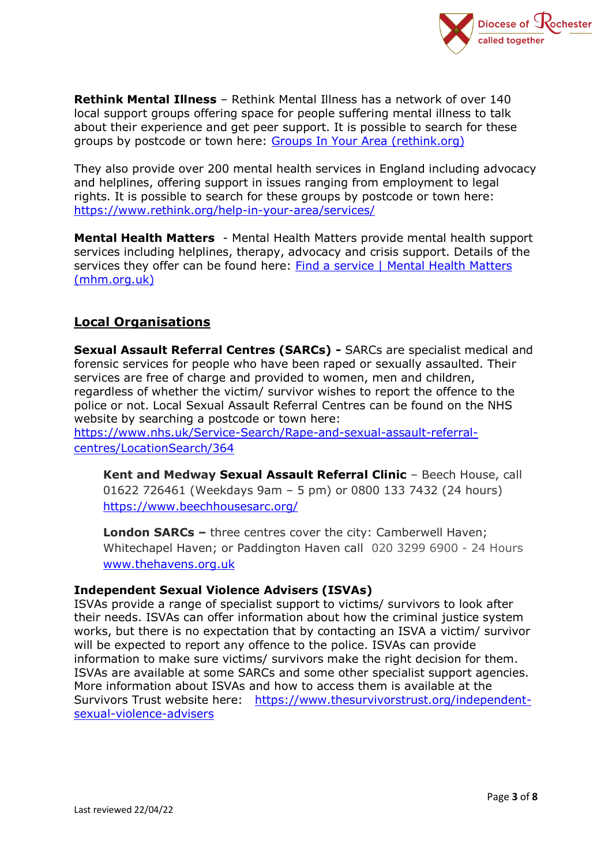

**Rethink Mental Illness** – Rethink Mental Illness has a network of over 140 local support groups offering space for people suffering mental illness to talk about their experience and get peer support. It is possible to search for these groups by postcode or town here: [Groups In Your Area \(rethink.org\)](https://www.rethink.org/help-in-your-area/groups-in-your-area/)

They also provide over 200 mental health services in England including advocacy and helplines, offering support in issues ranging from employment to legal rights. It is possible to search for these groups by postcode or town here: <https://www.rethink.org/help-in-your-area/services/>

**Mental Health Matters** - Mental Health Matters provide mental health support services including helplines, therapy, advocacy and crisis support. Details of the services they offer can be found here: [Find a service | Mental Health Matters](https://www.mhm.org.uk/Pages/Category/find-a-service?Take=24)  [\(mhm.org.uk\)](https://www.mhm.org.uk/Pages/Category/find-a-service?Take=24)

## **Local Organisations**

**Sexual Assault Referral Centres (SARCs) -** SARCs are specialist medical and forensic services for people who have been raped or sexually assaulted. Their services are free of charge and provided to women, men and children, regardless of whether the victim/ survivor wishes to report the offence to the police or not. Local Sexual Assault Referral Centres can be found on the NHS website by searching a postcode or town here:

[https://www.nhs.uk/Service-Search/Rape-and-sexual-assault-referral](https://www.nhs.uk/Service-Search/Rape-and-sexual-assault-referral-centres/LocationSearch/364)[centres/LocationSearch/364](https://www.nhs.uk/Service-Search/Rape-and-sexual-assault-referral-centres/LocationSearch/364)

**Kent and Medway Sexual Assault Referral Clinic** – Beech House, call 01622 726461 (Weekdays 9am – 5 pm) or 0800 133 7432 (24 hours) <https://www.beechhousesarc.org/>

**London SARCs –** three centres cover the city: Camberwell Haven; Whitechapel Haven; or Paddington Haven call 020 3299 6900 - 24 Hours [www.thehavens.org.uk](http://www.thehavens.org.uk/)

#### **Independent Sexual Violence Advisers (ISVAs)**

ISVAs provide a range of specialist support to victims/ survivors to look after their needs. ISVAs can offer information about how the criminal justice system works, but there is no expectation that by contacting an ISVA a victim/ survivor will be expected to report any offence to the police. ISVAs can provide information to make sure victims/ survivors make the right decision for them. ISVAs are available at some SARCs and some other specialist support agencies. More information about ISVAs and how to access them is available at the Survivors Trust website here: [https://www.thesurvivorstrust.org/independent](https://www.thesurvivorstrust.org/independent-sexual-violence-advisers)[sexual-violence-advisers](https://www.thesurvivorstrust.org/independent-sexual-violence-advisers)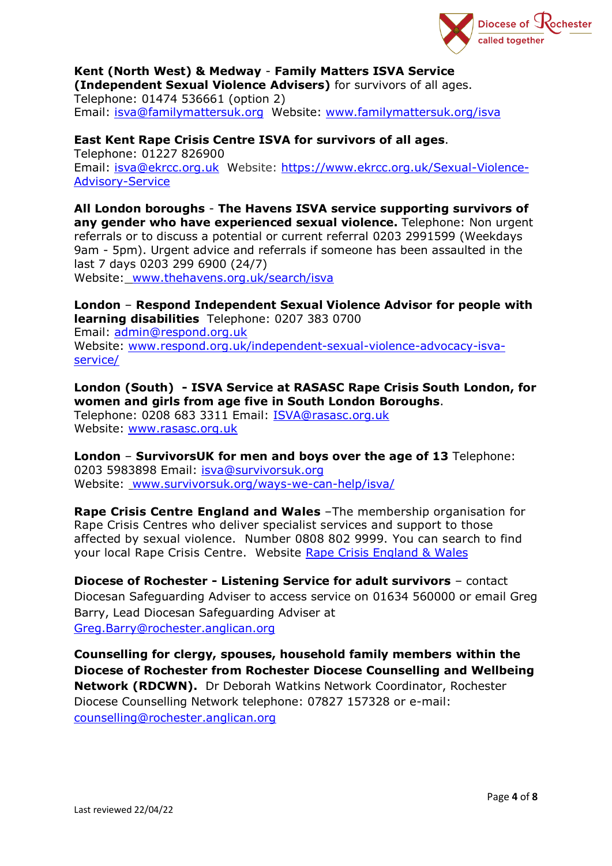

#### **Kent (North West) & Medway** - **Family Matters ISVA Service (Independent Sexual Violence Advisers)** for survivors of all ages.

Telephone: 01474 536661 (option 2) Email: [isva@familymattersuk.org](mailto:isva@familymattersuk.org) Website: [www.familymattersuk.org/isva](http://www.familymattersuk.org/isva)

**East Kent Rape Crisis Centre ISVA for survivors of all ages**. Telephone: 01227 826900

Email: [isva@ekrcc.org.uk](mailto:isva@ekrcc.org.uk) Website: [https://www.ekrcc.org.uk/Sexual-Violence-](https://www.ekrcc.org.uk/Sexual-Violence-Advisory-Service)[Advisory-Service](https://www.ekrcc.org.uk/Sexual-Violence-Advisory-Service)

**All London boroughs** - **The Havens ISVA service supporting survivors of any gender who have experienced sexual violence.** Telephone: Non urgent referrals or to discuss a potential or current referral 0203 2991599 (Weekdays 9am - 5pm). Urgent advice and referrals if someone has been assaulted in the last 7 days 0203 299 6900 (24/7) Website: [www.thehavens.org.uk/search/isva](http://www.thehavens.org.uk/search/isva)

**London** – **Respond Independent Sexual Violence Advisor for people with learning disabilities** Telephone: 0207 383 0700 Email: [admin@respond.org.uk](mailto:admin@respond.org.uk) Website: [www.respond.org.uk/independent-sexual-violence-advocacy-isva](http://www.respond.org.uk/independent-sexual-violence-advocacy-isva-service/)[service/](http://www.respond.org.uk/independent-sexual-violence-advocacy-isva-service/)

**London (South) - ISVA Service at RASASC Rape Crisis South London, for women and girls from age five in South London Boroughs**.

Telephone: 0208 683 3311 Email: [ISVA@rasasc.org.uk](mailto:ISVA@rasasc.org.uk) Website: [www.rasasc.org.uk](http://www.rasasc.org.uk/)

**London** – **SurvivorsUK for men and boys over the age of 13** Telephone: 0203 5983898 Email: [isva@survivorsuk.org](mailto:isva@survivorsuk.org)  Website: [www.survivorsuk.org/ways-we-can-help/isva/](http://www.survivorsuk.org/ways-we-can-help/isva/)

**Rape Crisis Centre England and Wales** –The membership organisation for Rape Crisis Centres who deliver specialist services and support to those affected by sexual violence. Number 0808 802 9999. You can search to find your local Rape Crisis Centre. Website [Rape Crisis England & Wales](https://rapecrisis.org.uk/)

**Diocese of Rochester - Listening Service for adult survivors** – contact Diocesan Safeguarding Adviser to access service on 01634 560000 or email Greg Barry, Lead Diocesan Safeguarding Adviser at [Greg.Barry@rochester.anglican.org](mailto:Greg.Barry@rochester.anglican.org)

**Counselling for clergy, spouses, household family members within the Diocese of Rochester from Rochester Diocese Counselling and Wellbeing Network (RDCWN).** Dr Deborah Watkins Network Coordinator, Rochester Diocese Counselling Network telephone: 07827 157328 or e-mail: [counselling@rochester.anglican.org](mailto:counselling@rochester.anglican.org)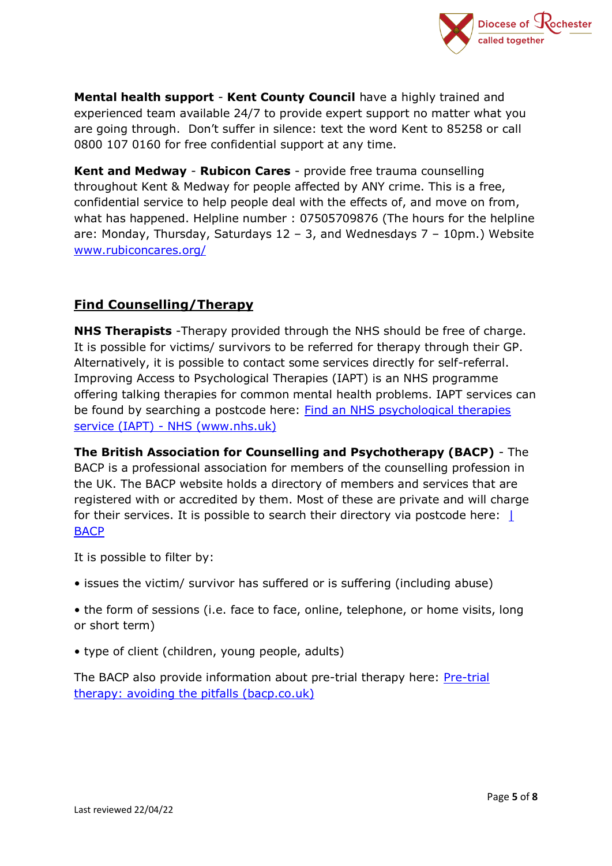

**Mental health support** - **Kent County Council** have a highly trained and experienced team available 24/7 to provide expert support no matter what you are going through. Don't suffer in silence: text the word Kent to 85258 or call 0800 107 0160 for free confidential support at any time.

**Kent and Medway** - **Rubicon Cares** - provide free trauma counselling throughout Kent & Medway for people affected by ANY crime. This is a free, confidential service to help people deal with the effects of, and move on from, what has happened. Helpline number : 07505709876 (The hours for the helpline are: Monday, Thursday, Saturdays 12 – 3, and Wednesdays 7 – 10pm.) Website [www.rubiconcares.org/](http://www.rubiconcares.org/)

## **Find Counselling/Therapy**

**NHS Therapists** -Therapy provided through the NHS should be free of charge. It is possible for victims/ survivors to be referred for therapy through their GP. Alternatively, it is possible to contact some services directly for self-referral. Improving Access to Psychological Therapies (IAPT) is an NHS programme offering talking therapies for common mental health problems. IAPT services can be found by searching a postcode here: Find an NHS psychological therapies service (IAPT) - NHS (www.nhs.uk)

**The British Association for Counselling and Psychotherapy (BACP)** - The BACP is a professional association for members of the counselling profession in the UK. The BACP website holds a directory of members and services that are registered with or accredited by them. Most of these are private and will charge for their services. It is possible to search their directory via postcode here: | [BACP](https://www.bacp.co.uk/search/Therapists)

It is possible to filter by:

- issues the victim/ survivor has suffered or is suffering (including abuse)
- the form of sessions (i.e. face to face, online, telephone, or home visits, long or short term)
- type of client (children, young people, adults)

The BACP also provide information about pre-trial therapy here: [Pre-trial](https://www.bacp.co.uk/bacp-journals/healthcare-counselling-and-psychotherapy-journal/april-2015/pre-trial-therapy/)  [therapy: avoiding the pitfalls \(bacp.co.uk\)](https://www.bacp.co.uk/bacp-journals/healthcare-counselling-and-psychotherapy-journal/april-2015/pre-trial-therapy/)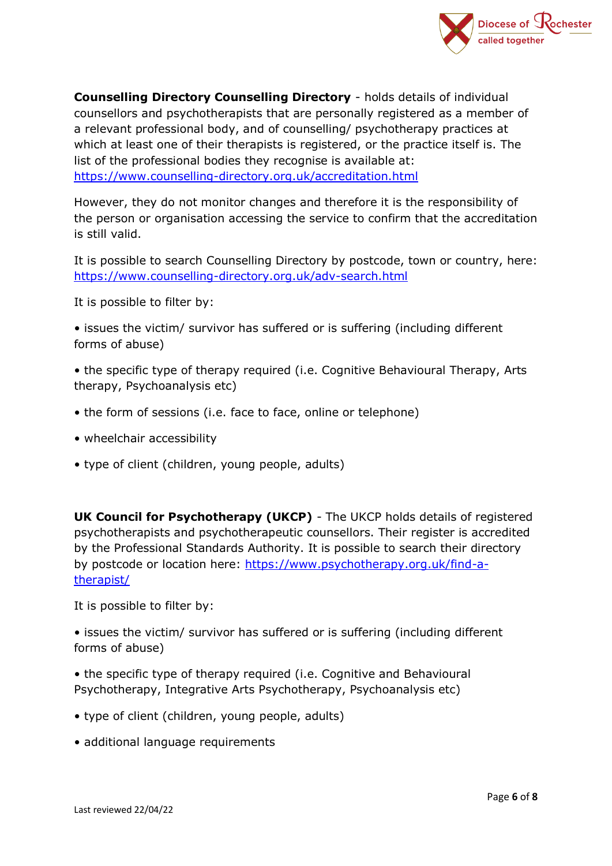

**Counselling Directory Counselling Directory** - holds details of individual counsellors and psychotherapists that are personally registered as a member of a relevant professional body, and of counselling/ psychotherapy practices at which at least one of their therapists is registered, or the practice itself is. The list of the professional bodies they recognise is available at: <https://www.counselling-directory.org.uk/accreditation.html>

However, they do not monitor changes and therefore it is the responsibility of the person or organisation accessing the service to confirm that the accreditation is still valid.

It is possible to search Counselling Directory by postcode, town or country, here: <https://www.counselling-directory.org.uk/adv-search.html>

It is possible to filter by:

- issues the victim/ survivor has suffered or is suffering (including different forms of abuse)
- the specific type of therapy required (i.e. Cognitive Behavioural Therapy, Arts therapy, Psychoanalysis etc)
- the form of sessions (i.e. face to face, online or telephone)
- wheelchair accessibility
- type of client (children, young people, adults)

**UK Council for Psychotherapy (UKCP)** - The UKCP holds details of registered psychotherapists and psychotherapeutic counsellors. Their register is accredited by the Professional Standards Authority. It is possible to search their directory by postcode or location here: [https://www.psychotherapy.org.uk/find-a](https://www.psychotherapy.org.uk/find-a-therapist/)[therapist/](https://www.psychotherapy.org.uk/find-a-therapist/)

It is possible to filter by:

• issues the victim/ survivor has suffered or is suffering (including different forms of abuse)

- the specific type of therapy required (i.e. Cognitive and Behavioural Psychotherapy, Integrative Arts Psychotherapy, Psychoanalysis etc)
- type of client (children, young people, adults)
- additional language requirements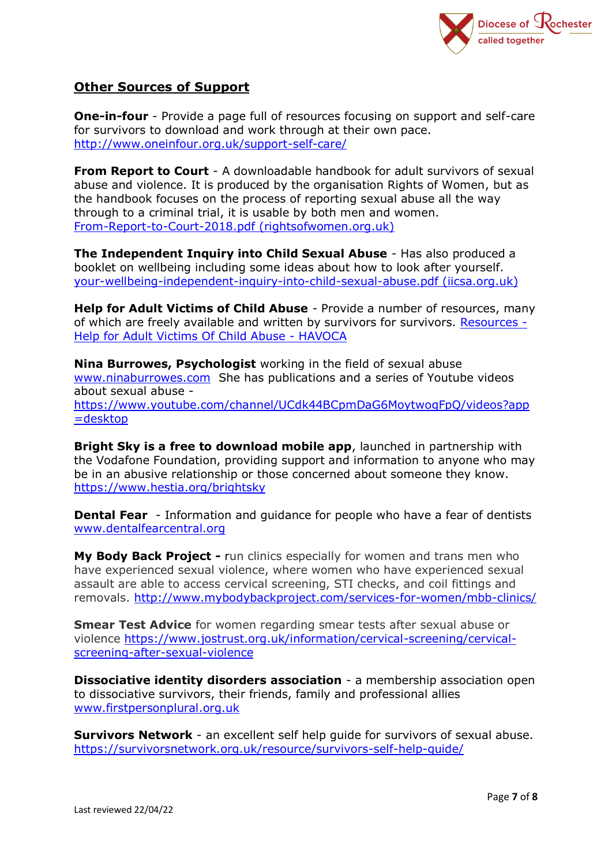

### **Other Sources of Support**

**One-in-four** - Provide a page full of resources focusing on support and self-care for survivors to download and work through at their own pace. <http://www.oneinfour.org.uk/support-self-care/>

**From Report to Court** - A downloadable handbook for adult survivors of sexual abuse and violence. It is produced by the organisation Rights of Women, but as the handbook focuses on the process of reporting sexual abuse all the way through to a criminal trial, it is usable by both men and women. [From-Report-to-Court-2018.pdf \(rightsofwomen.org.uk\)](https://rightsofwomen.org.uk/wp-content/uploads/2019/03/From-Report-to-Court-2018.pdf)

**The Independent Inquiry into Child Sexual Abuse** - Has also produced a booklet on wellbeing including some ideas about how to look after yourself. [your-wellbeing-independent-inquiry-into-child-sexual-abuse.pdf \(iicsa.org.uk\)](https://www.iicsa.org.uk/key-documents/9006/view/your-wellbeing-independent-inquiry-into-child-sexual-abuse.pdf)

**Help for Adult Victims of Child Abuse** - Provide a number of resources, many of which are freely available and written by survivors for survivors. [Resources -](https://www.havoca.org/resources/) [Help for Adult Victims Of Child Abuse -](https://www.havoca.org/resources/) HAVOCA

**Nina Burrowes, Psychologist** working in the field of sexual abuse [www.ninaburrowes.com](http://www.ninaburrowes.com/) She has publications and a series of Youtube videos about sexual abuse [https://www.youtube.com/channel/UCdk44BCpmDaG6MoytwogFpQ/videos?app](https://www.youtube.com/channel/UCdk44BCpmDaG6MoytwogFpQ/videos?app=desktop) [=desktop](https://www.youtube.com/channel/UCdk44BCpmDaG6MoytwogFpQ/videos?app=desktop) 

**Bright Sky is a free to download mobile app**, launched in partnership with the Vodafone Foundation, providing support and information to anyone who may be in an abusive relationship or those concerned about someone they know. <https://www.hestia.org/brightsky>

**Dental Fear** - Information and quidance for people who have a fear of dentists [www.dentalfearcentral.org](http://www.dentalfearcentral.org/)

**My Body Back Project -** run clinics especially for women and trans men who have experienced sexual violence, where women who have experienced sexual assault are able to access cervical screening, STI checks, and coil fittings and removals. <http://www.mybodybackproject.com/services-for-women/mbb-clinics/>

**Smear Test Advice** for women regarding smear tests after sexual abuse or violence [https://www.jostrust.org.uk/information/cervical-screening/cervical](https://www.jostrust.org.uk/information/cervical-screening/cervical-screening-after-sexual-violence)[screening-after-sexual-violence](https://www.jostrust.org.uk/information/cervical-screening/cervical-screening-after-sexual-violence)

**Dissociative identity disorders association** - a membership association open to dissociative survivors, their friends, family and professional allies [www.firstpersonplural.org.uk](http://www.firstpersonplural.org.uk/) 

**Survivors Network** - an excellent self help guide for survivors of sexual abuse. <https://survivorsnetwork.org.uk/resource/survivors-self-help-guide/>